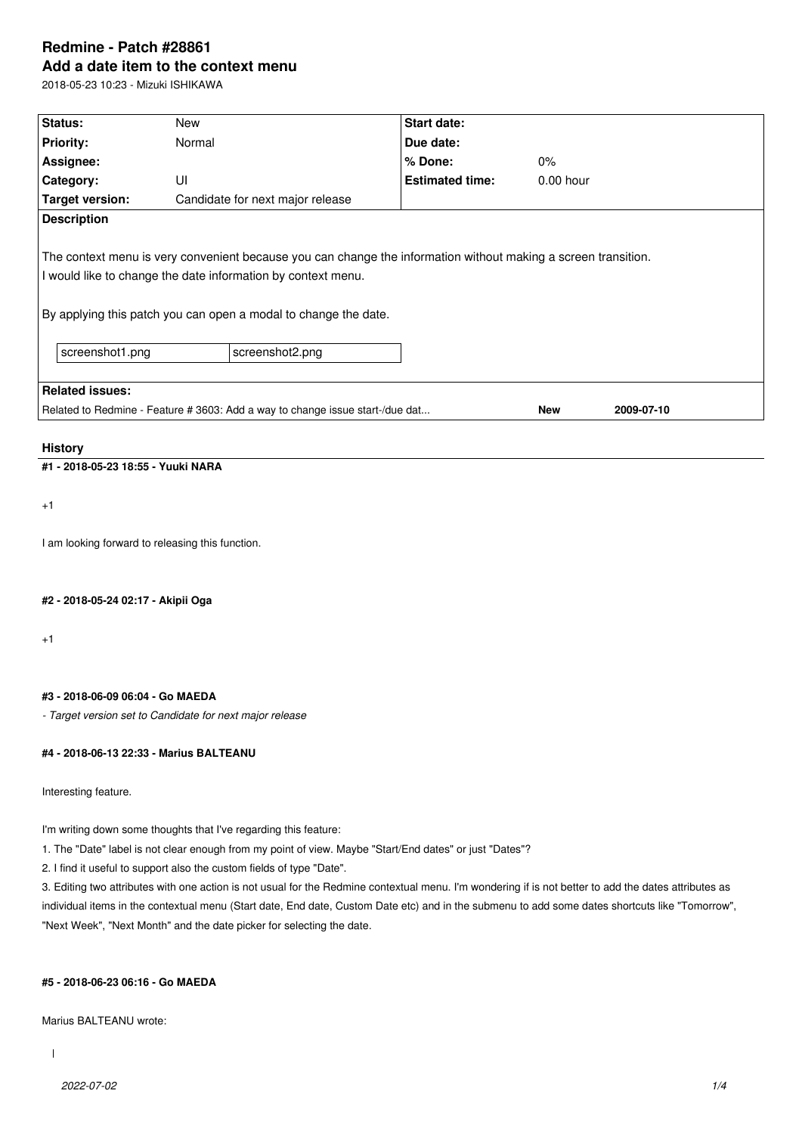# **Redmine - Patch #28861 Add a date item to the context menu**

2018-05-23 10:23 - Mizuki ISHIKAWA

| Status:                                                                                                                                                                                                                                           | New                                                                           | <b>Start date:</b>     |             |            |  |  |
|---------------------------------------------------------------------------------------------------------------------------------------------------------------------------------------------------------------------------------------------------|-------------------------------------------------------------------------------|------------------------|-------------|------------|--|--|
|                                                                                                                                                                                                                                                   |                                                                               |                        |             |            |  |  |
| <b>Priority:</b>                                                                                                                                                                                                                                  | Normal                                                                        | Due date:              |             |            |  |  |
| Assignee:                                                                                                                                                                                                                                         |                                                                               | % Done:                | 0%          |            |  |  |
| Category:                                                                                                                                                                                                                                         | UI                                                                            | <b>Estimated time:</b> | $0.00$ hour |            |  |  |
| Target version:                                                                                                                                                                                                                                   | Candidate for next major release                                              |                        |             |            |  |  |
| <b>Description</b>                                                                                                                                                                                                                                |                                                                               |                        |             |            |  |  |
| The context menu is very convenient because you can change the information without making a screen transition.<br>I would like to change the date information by context menu.<br>By applying this patch you can open a modal to change the date. |                                                                               |                        |             |            |  |  |
| screenshot1.png                                                                                                                                                                                                                                   | screenshot2.png                                                               |                        |             |            |  |  |
| <b>Related issues:</b>                                                                                                                                                                                                                            |                                                                               |                        |             |            |  |  |
|                                                                                                                                                                                                                                                   | Related to Redmine - Feature # 3603: Add a way to change issue start-/due dat |                        | <b>New</b>  | 2009-07-10 |  |  |

## **History**

# **#1 - 2018-05-23 18:55 - Yuuki NARA**

+1

I am looking forward to releasing this function.

**#2 - 2018-05-24 02:17 - Akipii Oga**

+1

## **#3 - 2018-06-09 06:04 - Go MAEDA**

*- Target version set to Candidate for next major release*

## **#4 - 2018-06-13 22:33 - Marius BALTEANU**

Interesting feature.

I'm writing down some thoughts that I've regarding this feature:

1. The "Date" label is not clear enough from my point of view. Maybe "Start/End dates" or just "Dates"?

2. I find it useful to support also the custom fields of type "Date".

3. Editing two attributes with one action is not usual for the Redmine contextual menu. I'm wondering if is not better to add the dates attributes as individual items in the contextual menu (Start date, End date, Custom Date etc) and in the submenu to add some dates shortcuts like "Tomorrow", "Next Week", "Next Month" and the date picker for selecting the date.

### **#5 - 2018-06-23 06:16 - Go MAEDA**

Marius BALTEANU wrote: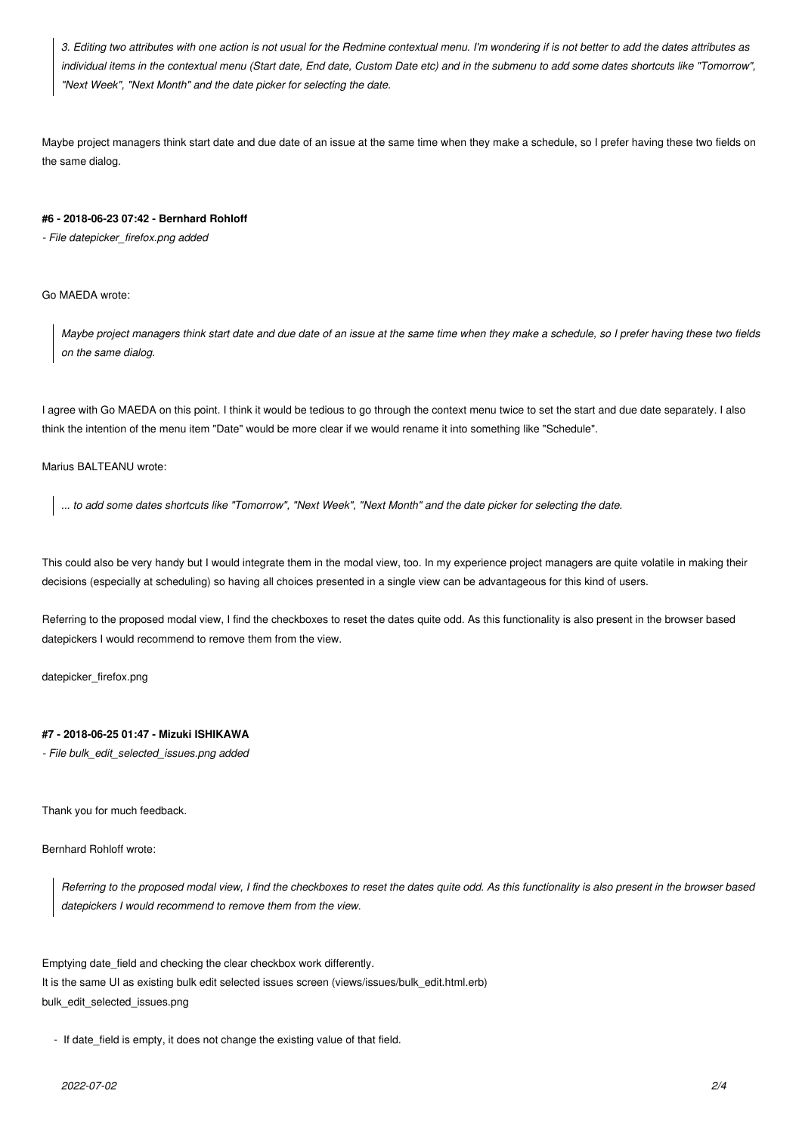*3. Editing two attributes with one action is not usual for the Redmine contextual menu. I'm wondering if is not better to add the dates attributes as individual items in the contextual menu (Start date, End date, Custom Date etc) and in the submenu to add some dates shortcuts like "Tomorrow", "Next Week", "Next Month" and the date picker for selecting the date.*

Maybe project managers think start date and due date of an issue at the same time when they make a schedule, so I prefer having these two fields on the same dialog.

#### **#6 - 2018-06-23 07:42 - Bernhard Rohloff**

*- File datepicker\_firefox.png added*

Go MAEDA wrote:

*Maybe project managers think start date and due date of an issue at the same time when they make a schedule, so I prefer having these two fields on the same dialog.*

I agree with Go MAEDA on this point. I think it would be tedious to go through the context menu twice to set the start and due date separately. I also think the intention of the menu item "Date" would be more clear if we would rename it into something like "Schedule".

Marius BALTEANU wrote:

*... to add some dates shortcuts like "Tomorrow", "Next Week", "Next Month" and the date picker for selecting the date.*

This could also be very handy but I would integrate them in the modal view, too. In my experience project managers are quite volatile in making their decisions (especially at scheduling) so having all choices presented in a single view can be advantageous for this kind of users.

Referring to the proposed modal view, I find the checkboxes to reset the dates quite odd. As this functionality is also present in the browser based datepickers I would recommend to remove them from the view.

datepicker\_firefox.png

## **#7 - 2018-06-25 01:47 - Mizuki ISHIKAWA**

*- File bulk\_edit\_selected\_issues.png added*

Thank you for much feedback.

Bernhard Rohloff wrote:

*Referring to the proposed modal view, I find the checkboxes to reset the dates quite odd. As this functionality is also present in the browser based datepickers I would recommend to remove them from the view.*

Emptying date\_field and checking the clear checkbox work differently. It is the same UI as existing bulk edit selected issues screen (views/issues/bulk\_edit.html.erb) bulk\_edit\_selected\_issues.png

- If date\_field is empty, it does not change the existing value of that field.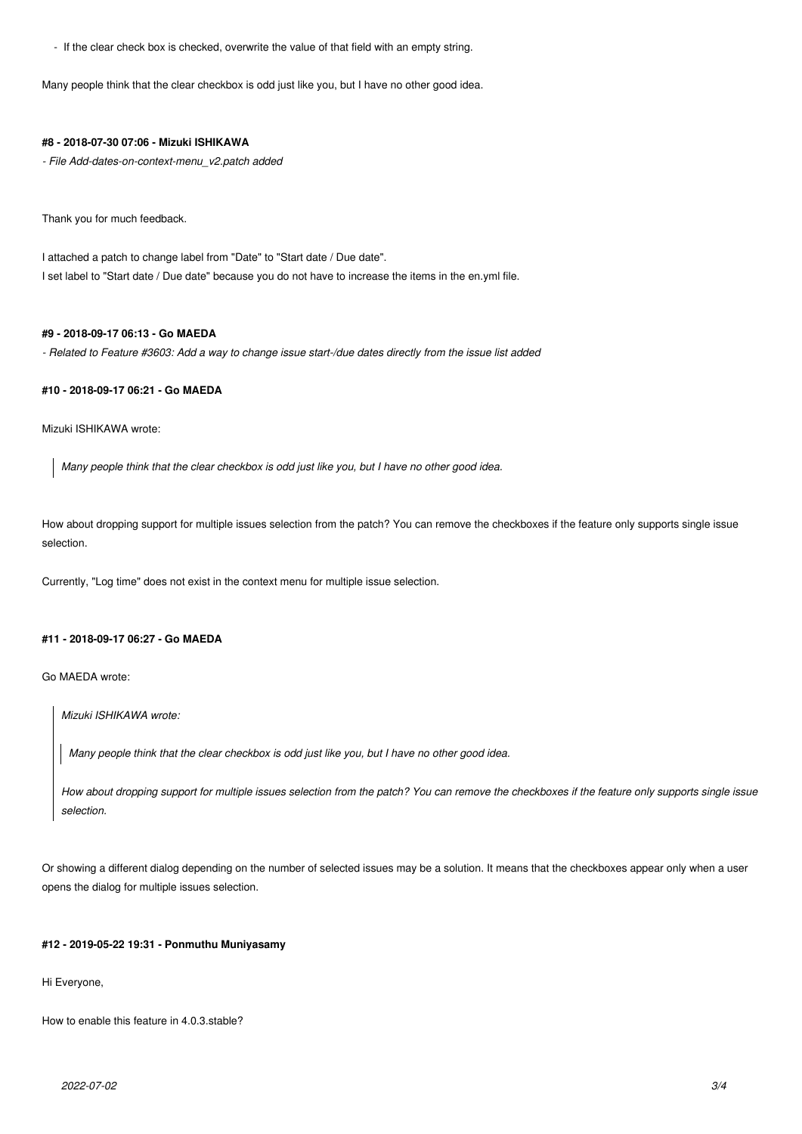- If the clear check box is checked, overwrite the value of that field with an empty string.

Many people think that the clear checkbox is odd just like you, but I have no other good idea.

#### **#8 - 2018-07-30 07:06 - Mizuki ISHIKAWA**

*- File Add-dates-on-context-menu\_v2.patch added*

Thank you for much feedback.

I attached a patch to change label from "Date" to "Start date / Due date". I set label to "Start date / Due date" because you do not have to increase the items in the en.yml file.

# **#9 - 2018-09-17 06:13 - Go MAEDA**

*- Related to Feature #3603: Add a way to change issue start-/due dates directly from the issue list added*

# **#10 - 2018-09-17 06:21 - Go MAEDA**

Mizuki ISHIKAWA wrote:

*Many people think that the clear checkbox is odd just like you, but I have no other good idea.*

How about dropping support for multiple issues selection from the patch? You can remove the checkboxes if the feature only supports single issue selection.

Currently, "Log time" does not exist in the context menu for multiple issue selection.

## **#11 - 2018-09-17 06:27 - Go MAEDA**

Go MAEDA wrote:

*Mizuki ISHIKAWA wrote:*

*Many people think that the clear checkbox is odd just like you, but I have no other good idea.*

*How about dropping support for multiple issues selection from the patch? You can remove the checkboxes if the feature only supports single issue selection.*

Or showing a different dialog depending on the number of selected issues may be a solution. It means that the checkboxes appear only when a user opens the dialog for multiple issues selection.

#### **#12 - 2019-05-22 19:31 - Ponmuthu Muniyasamy**

Hi Everyone,

How to enable this feature in 4.0.3.stable?